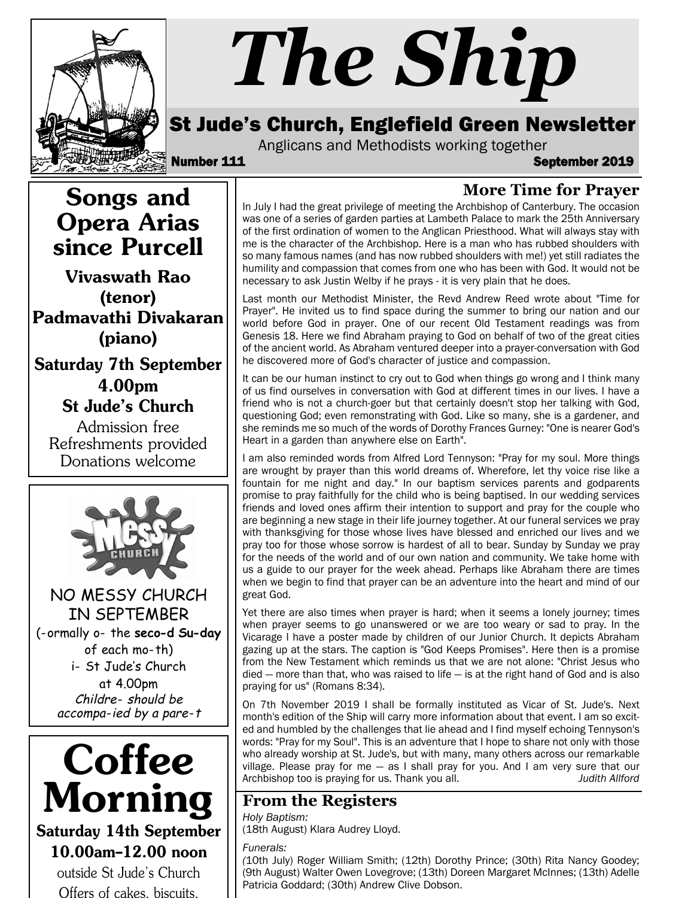

# *The Ship*

## St Jude's Church, Englefield Green Newsletter

Anglicans and Methodists working together<br>**September 111** September 2019

#### **More Time for Prayer**

In July I had the great privilege of meeting the Archbishop of Canterbury. The occasion was one of a series of garden parties at Lambeth Palace to mark the 25th Anniversary of the first ordination of women to the Anglican Priesthood. What will always stay with me is the character of the Archbishop. Here is a man who has rubbed shoulders with so many famous names (and has now rubbed shoulders with me!) yet still radiates the humility and compassion that comes from one who has been with God. It would not be necessary to ask Justin Welby if he prays - it is very plain that he does.

Last month our Methodist Minister, the Revd Andrew Reed wrote about "Time for Prayer". He invited us to find space during the summer to bring our nation and our world before God in prayer. One of our recent Old Testament readings was from Genesis 18. Here we find Abraham praying to God on behalf of two of the great cities of the ancient world. As Abraham ventured deeper into a prayer-conversation with God he discovered more of God's character of justice and compassion.

It can be our human instinct to cry out to God when things go wrong and I think many of us find ourselves in conversation with God at different times in our lives. I have a friend who is not a church-goer but that certainly doesn't stop her talking with God, questioning God; even remonstrating with God. Like so many, she is a gardener, and she reminds me so much of the words of Dorothy Frances Gurney: "One is nearer God's Heart in a garden than anywhere else on Earth".

I am also reminded words from Alfred Lord Tennyson: "Pray for my soul. More things are wrought by prayer than this world dreams of. Wherefore, let thy voice rise like a fountain for me night and day." In our baptism services parents and godparents promise to pray faithfully for the child who is being baptised. In our wedding services friends and loved ones affirm their intention to support and pray for the couple who are beginning a new stage in their life journey together. At our funeral services we pray with thanksgiving for those whose lives have blessed and enriched our lives and we pray too for those whose sorrow is hardest of all to bear. Sunday by Sunday we pray for the needs of the world and of our own nation and community. We take home with us a guide to our prayer for the week ahead. Perhaps like Abraham there are times when we begin to find that prayer can be an adventure into the heart and mind of our great God.

Yet there are also times when prayer is hard; when it seems a lonely journey; times when prayer seems to go unanswered or we are too weary or sad to pray. In the Vicarage I have a poster made by children of our Junior Church. It depicts Abraham gazing up at the stars. The caption is "God Keeps Promises". Here then is a promise from the New Testament which reminds us that we are not alone: "Christ Jesus who died — more than that, who was raised to life — is at the right hand of God and is also praying for us" (Romans 8:34).

On 7th November 2019 I shall be formally instituted as Vicar of St. Jude's. Next month's edition of the Ship will carry more information about that event. I am so excited and humbled by the challenges that lie ahead and I find myself echoing Tennyson's words: "Pray for my Soul". This is an adventure that I hope to share not only with those who already worship at St. Jude's, but with many, many others across our remarkable village. Please pray for me — as I shall pray for you. And I am very sure that our Archbishop too is praying for us. Thank you all. *Judith Allford*

#### **From the Registers**

*Holy Baptism:*  (18th August) Klara Audrey Lloyd.

#### *Funerals:*

*(*10th July) Roger William Smith; (12th) Dorothy Prince; (30th) Rita Nancy Goodey; (9th August) Walter Owen Lovegrove; (13th) Doreen Margaret McInnes; (13th) Adelle Patricia Goddard; (30th) Andrew Clive Dobson.

Songs and Opera Arias since Purcell

Vivaswath Rao (tenor) Padmavathi Divakaran (piano)

Saturday 7th September 4.00pm St Jude's Church

Admission free Refreshments provided Donations welcome



NO MESSY CHURCH IN SEPTEMBER (normally on the **second Sunday** of each mo-th) i- St Jude's Church at 4.00pm Childre- should be accompa-ied by a pare-t



outside St Jude's Church Offers of cakes, biscuits,